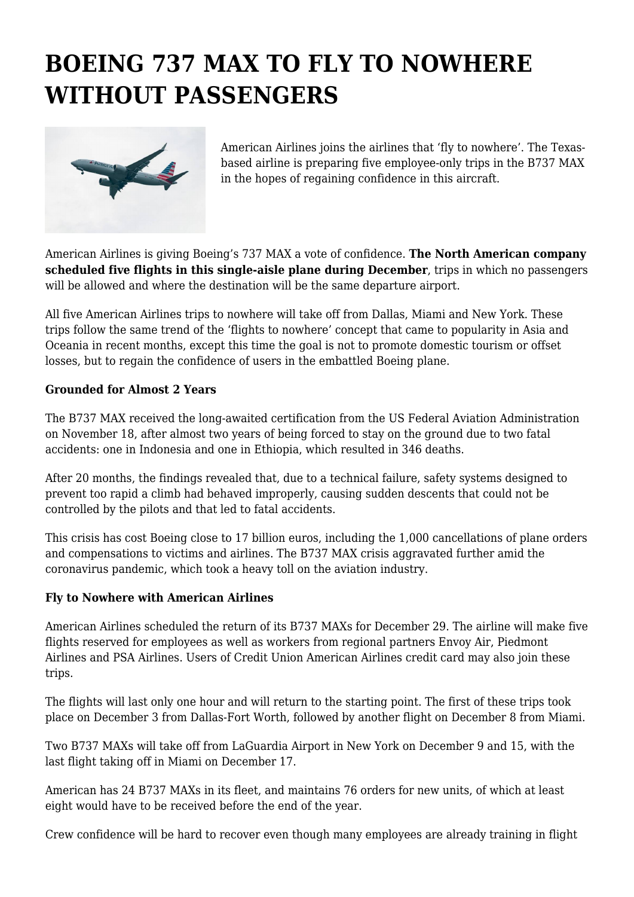## **BOEING 737 MAX TO FLY TO NOWHERE WITHOUT PASSENGERS**



American Airlines joins the airlines that 'fly to nowhere'. The Texasbased airline is preparing five employee-only trips in the B737 MAX in the hopes of regaining confidence in this aircraft.

American Airlines is giving Boeing's 737 MAX a vote of confidence. **The North American company scheduled five flights in this single-aisle plane during December**, trips in which no passengers will be allowed and where the destination will be the same departure airport.

All five American Airlines trips to nowhere will take off from Dallas, Miami and New York. These trips follow the same trend of the 'flights to nowhere' concept that came to popularity in Asia and Oceania in recent months, except this time the goal is not to promote domestic tourism or offset losses, but to regain the confidence of users in the embattled Boeing plane.

## **Grounded for Almost 2 Years**

The B737 MAX received the long-awaited certification from the US Federal Aviation Administration on November 18, after almost two years of being forced to stay on the ground due to two fatal accidents: one in Indonesia and one in Ethiopia, which resulted in 346 deaths.

After 20 months, the findings revealed that, due to a technical failure, safety systems designed to prevent too rapid a climb had behaved improperly, causing sudden descents that could not be controlled by the pilots and that led to fatal accidents.

This crisis has cost Boeing close to 17 billion euros, including the 1,000 cancellations of plane orders and compensations to victims and airlines. The B737 MAX crisis aggravated further amid the coronavirus pandemic, which took a heavy toll on the aviation industry.

## **Fly to Nowhere with American Airlines**

American Airlines scheduled the return of its B737 MAXs for December 29. The airline will make five flights reserved for employees as well as workers from regional partners Envoy Air, Piedmont Airlines and PSA Airlines. Users of Credit Union American Airlines credit card may also join these trips.

The flights will last only one hour and will return to the starting point. The first of these trips took place on December 3 from Dallas-Fort Worth, followed by another flight on December 8 from Miami.

Two B737 MAXs will take off from LaGuardia Airport in New York on December 9 and 15, with the last flight taking off in Miami on December 17.

American has 24 B737 MAXs in its fleet, and maintains 76 orders for new units, of which at least eight would have to be received before the end of the year.

Crew confidence will be hard to recover even though many employees are already training in flight